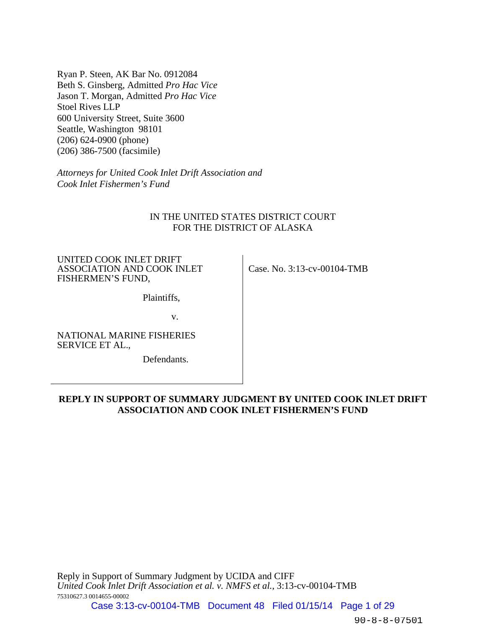Ryan P. Steen, AK Bar No. 0912084 Beth S. Ginsberg, Admitted *Pro Hac Vice* Jason T. Morgan, Admitted *Pro Hac Vice*  Stoel Rives LLP 600 University Street, Suite 3600 Seattle, Washington 98101 (206) 624-0900 (phone) (206) 386-7500 (facsimile)

*Attorneys for United Cook Inlet Drift Association and Cook Inlet Fishermen's Fund* 

## IN THE UNITED STATES DISTRICT COURT FOR THE DISTRICT OF ALASKA

UNITED COOK INLET DRIFT ASSOCIATION AND COOK INLET FISHERMEN'S FUND,

Case. No. 3:13-cv-00104-TMB

Plaintiffs,

v.

NATIONAL MARINE FISHERIES SERVICE ET AL.,

Defendants.

## **REPLY IN SUPPORT OF SUMMARY JUDGMENT BY UNITED COOK INLET DRIFT ASSOCIATION AND COOK INLET FISHERMEN'S FUND**

Reply in Support of Summary Judgment by UCIDA and CIFF *United Cook Inlet Drift Association et al. v. NMFS et al.,* 3:13-cv-00104-TMB 75310627.3 0014655-00002

Case 3:13-cv-00104-TMB Document 48 Filed 01/15/14 Page 1 of 29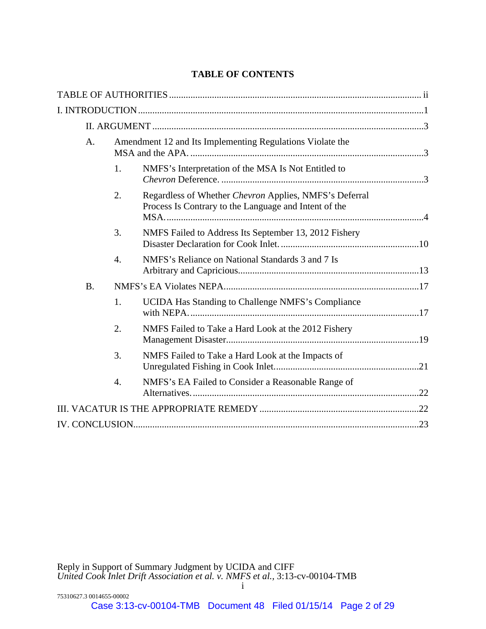## **TABLE OF CONTENTS**

| A.        |                  | Amendment 12 and Its Implementing Regulations Violate the                                                       |  |
|-----------|------------------|-----------------------------------------------------------------------------------------------------------------|--|
|           | 1.               | NMFS's Interpretation of the MSA Is Not Entitled to                                                             |  |
|           | 2.               | Regardless of Whether Chevron Applies, NMFS's Deferral<br>Process Is Contrary to the Language and Intent of the |  |
|           | 3.               | NMFS Failed to Address Its September 13, 2012 Fishery                                                           |  |
|           | 4.               | NMFS's Reliance on National Standards 3 and 7 Is                                                                |  |
| <b>B.</b> |                  |                                                                                                                 |  |
|           | 1.               | UCIDA Has Standing to Challenge NMFS's Compliance                                                               |  |
|           | 2.               | NMFS Failed to Take a Hard Look at the 2012 Fishery                                                             |  |
|           | 3.               | NMFS Failed to Take a Hard Look at the Impacts of                                                               |  |
|           | $\overline{4}$ . | NMFS's EA Failed to Consider a Reasonable Range of                                                              |  |
|           |                  |                                                                                                                 |  |
|           |                  |                                                                                                                 |  |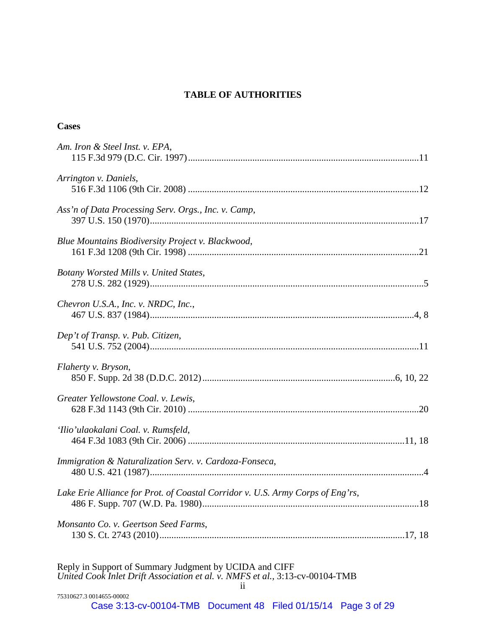# **TABLE OF AUTHORITIES**

## **Cases**

| Am. Iron & Steel Inst. v. EPA,                                                                                                         |
|----------------------------------------------------------------------------------------------------------------------------------------|
| Arrington v. Daniels,                                                                                                                  |
| Ass'n of Data Processing Serv. Orgs., Inc. v. Camp,                                                                                    |
| Blue Mountains Biodiversity Project v. Blackwood,                                                                                      |
| Botany Worsted Mills v. United States,                                                                                                 |
| Chevron U.S.A., Inc. v. NRDC, Inc.,                                                                                                    |
| Dep't of Transp. v. Pub. Citizen,                                                                                                      |
| Flaherty v. Bryson,                                                                                                                    |
| Greater Yellowstone Coal. v. Lewis,                                                                                                    |
| 'Ilio'ulaokalani Coal. v. Rumsfeld,                                                                                                    |
| Immigration & Naturalization Serv. v. Cardoza-Fonseca,                                                                                 |
| Lake Erie Alliance for Prot. of Coastal Corridor v. U.S. Army Corps of Eng'rs,                                                         |
| Monsanto Co. v. Geertson Seed Farms,                                                                                                   |
| Reply in Support of Summary Judgment by UCIDA and CIFF<br>United Cook Inlet Drift Association et al. v. NMFS et al., 3:13-cv-00104-TMB |

| 75310627.3 0014655-00002                                           |  |  |
|--------------------------------------------------------------------|--|--|
| Case 3:13-cv-00104-TMB  Document 48  Filed 01/15/14  Page 3  of 29 |  |  |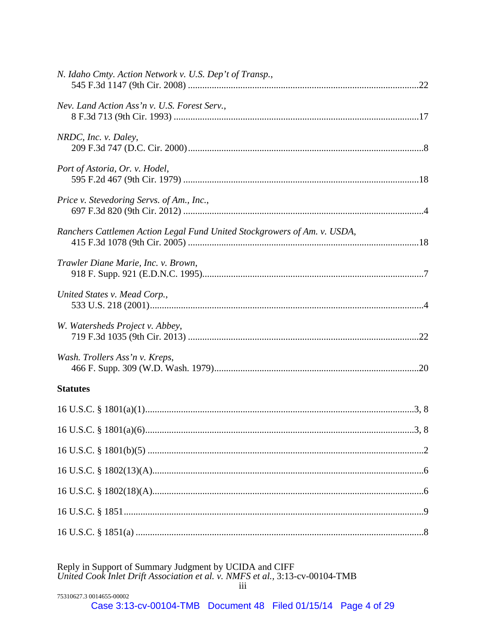| N. Idaho Cmty. Action Network v. U.S. Dep't of Transp.,                  |  |
|--------------------------------------------------------------------------|--|
| Nev. Land Action Ass'n v. U.S. Forest Serv.,                             |  |
| NRDC, Inc. v. Daley,                                                     |  |
| Port of Astoria, Or. v. Hodel,                                           |  |
| Price v. Stevedoring Servs. of Am., Inc.,                                |  |
| Ranchers Cattlemen Action Legal Fund United Stockgrowers of Am. v. USDA, |  |
| Trawler Diane Marie, Inc. v. Brown,                                      |  |
| United States v. Mead Corp.,                                             |  |
| W. Watersheds Project v. Abbey,                                          |  |
| Wash. Trollers Ass'n v. Kreps,                                           |  |
| <b>Statutes</b>                                                          |  |
|                                                                          |  |
|                                                                          |  |
|                                                                          |  |
|                                                                          |  |
|                                                                          |  |
|                                                                          |  |
|                                                                          |  |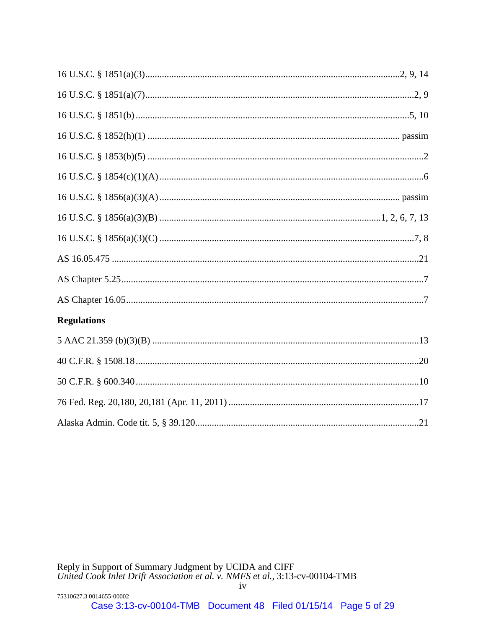| <b>Regulations</b> |
|--------------------|
|                    |
|                    |
|                    |
|                    |
|                    |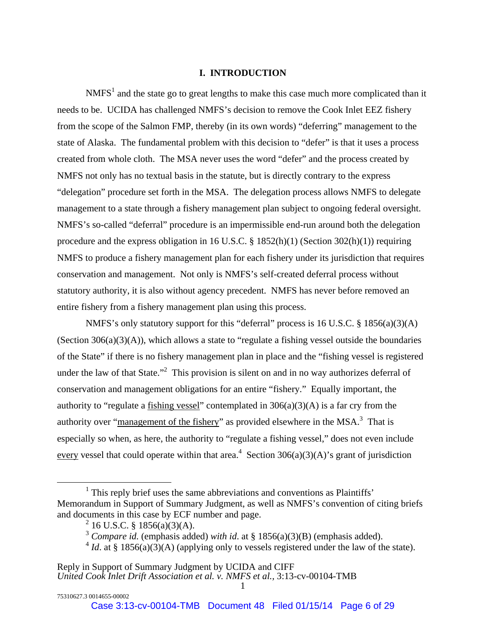#### **I. INTRODUCTION**

 $N<sup>1</sup>$  and the state go to great lengths to make this case much more complicated than it needs to be. UCIDA has challenged NMFS's decision to remove the Cook Inlet EEZ fishery from the scope of the Salmon FMP, thereby (in its own words) "deferring" management to the state of Alaska. The fundamental problem with this decision to "defer" is that it uses a process created from whole cloth. The MSA never uses the word "defer" and the process created by NMFS not only has no textual basis in the statute, but is directly contrary to the express "delegation" procedure set forth in the MSA. The delegation process allows NMFS to delegate management to a state through a fishery management plan subject to ongoing federal oversight. NMFS's so-called "deferral" procedure is an impermissible end-run around both the delegation procedure and the express obligation in 16 U.S.C.  $\S$  1852(h)(1) (Section 302(h)(1)) requiring NMFS to produce a fishery management plan for each fishery under its jurisdiction that requires conservation and management. Not only is NMFS's self-created deferral process without statutory authority, it is also without agency precedent. NMFS has never before removed an entire fishery from a fishery management plan using this process.

NMFS's only statutory support for this "deferral" process is 16 U.S.C. § 1856(a)(3)(A) (Section  $306(a)(3)(A)$ ), which allows a state to "regulate a fishing vessel outside the boundaries" of the State" if there is no fishery management plan in place and the "fishing vessel is registered under the law of that State."<sup>2</sup> This provision is silent on and in no way authorizes deferral of conservation and management obligations for an entire "fishery." Equally important, the authority to "regulate a fishing vessel" contemplated in  $306(a)(3)(A)$  is a far cry from the authority over "management of the fishery" as provided elsewhere in the MSA.<sup>3</sup> That is especially so when, as here, the authority to "regulate a fishing vessel," does not even include every vessel that could operate within that area.<sup>4</sup> Section 306(a)(3)(A)'s grant of jurisdiction

<sup>&</sup>lt;u>1</u>  $1$ . This reply brief uses the same abbreviations and conventions as Plaintiffs' Memorandum in Support of Summary Judgment, as well as NMFS's convention of citing briefs and documents in this case by ECF number and page.

<sup>&</sup>lt;sup>2</sup> 16 U.S.C. § 1856(a)(3)(A).

<sup>3</sup> *Compare id.* (emphasis added) *with id*. at § 1856(a)(3)(B) (emphasis added).

 $4$  *Id.* at § 1856(a)(3)(A) (applying only to vessels registered under the law of the state).

Reply in Support of Summary Judgment by UCIDA and CIFF *United Cook Inlet Drift Association et al. v. NMFS et al.,* 3:13-cv-00104-TMB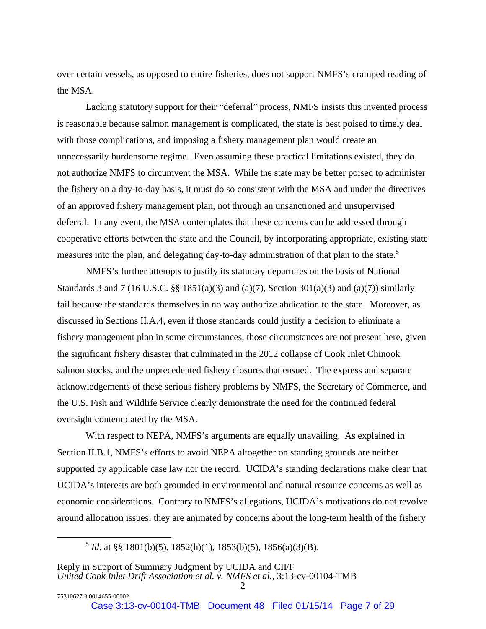over certain vessels, as opposed to entire fisheries, does not support NMFS's cramped reading of the MSA.

Lacking statutory support for their "deferral" process, NMFS insists this invented process is reasonable because salmon management is complicated, the state is best poised to timely deal with those complications, and imposing a fishery management plan would create an unnecessarily burdensome regime. Even assuming these practical limitations existed, they do not authorize NMFS to circumvent the MSA. While the state may be better poised to administer the fishery on a day-to-day basis, it must do so consistent with the MSA and under the directives of an approved fishery management plan, not through an unsanctioned and unsupervised deferral. In any event, the MSA contemplates that these concerns can be addressed through cooperative efforts between the state and the Council, by incorporating appropriate, existing state measures into the plan, and delegating day-to-day administration of that plan to the state.<sup>5</sup>

NMFS's further attempts to justify its statutory departures on the basis of National Standards 3 and 7 (16 U.S.C. §§ 1851(a)(3) and (a)(7), Section 301(a)(3) and (a)(7)) similarly fail because the standards themselves in no way authorize abdication to the state. Moreover, as discussed in Sections II.A.4, even if those standards could justify a decision to eliminate a fishery management plan in some circumstances, those circumstances are not present here, given the significant fishery disaster that culminated in the 2012 collapse of Cook Inlet Chinook salmon stocks, and the unprecedented fishery closures that ensued. The express and separate acknowledgements of these serious fishery problems by NMFS, the Secretary of Commerce, and the U.S. Fish and Wildlife Service clearly demonstrate the need for the continued federal oversight contemplated by the MSA.

With respect to NEPA, NMFS's arguments are equally unavailing. As explained in Section II.B.1, NMFS's efforts to avoid NEPA altogether on standing grounds are neither supported by applicable case law nor the record. UCIDA's standing declarations make clear that UCIDA's interests are both grounded in environmental and natural resource concerns as well as economic considerations. Contrary to NMFS's allegations, UCIDA's motivations do not revolve around allocation issues; they are animated by concerns about the long-term health of the fishery

 $5$  *Id.* at §§ 1801(b)(5), 1852(h)(1), 1853(b)(5), 1856(a)(3)(B).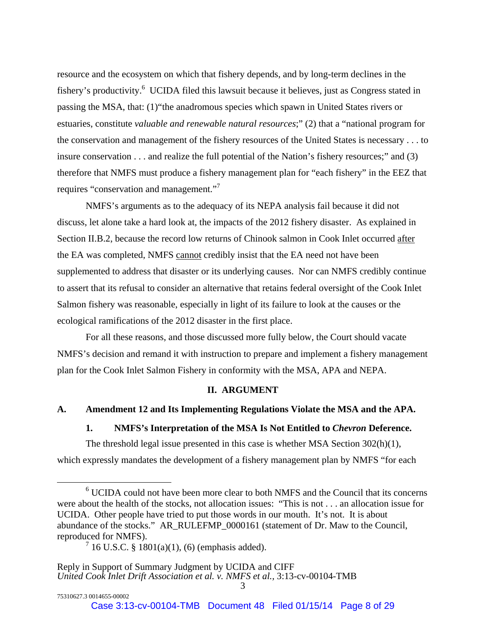resource and the ecosystem on which that fishery depends, and by long-term declines in the fishery's productivity.<sup>6</sup> UCIDA filed this lawsuit because it believes, just as Congress stated in passing the MSA, that: (1)"the anadromous species which spawn in United States rivers or estuaries, constitute *valuable and renewable natural resources*;" (2) that a "national program for the conservation and management of the fishery resources of the United States is necessary . . . to insure conservation . . . and realize the full potential of the Nation's fishery resources;" and (3) therefore that NMFS must produce a fishery management plan for "each fishery" in the EEZ that requires "conservation and management."<sup>7</sup>

NMFS's arguments as to the adequacy of its NEPA analysis fail because it did not discuss, let alone take a hard look at, the impacts of the 2012 fishery disaster. As explained in Section II.B.2, because the record low returns of Chinook salmon in Cook Inlet occurred after the EA was completed, NMFS cannot credibly insist that the EA need not have been supplemented to address that disaster or its underlying causes. Nor can NMFS credibly continue to assert that its refusal to consider an alternative that retains federal oversight of the Cook Inlet Salmon fishery was reasonable, especially in light of its failure to look at the causes or the ecological ramifications of the 2012 disaster in the first place.

 For all these reasons, and those discussed more fully below, the Court should vacate NMFS's decision and remand it with instruction to prepare and implement a fishery management plan for the Cook Inlet Salmon Fishery in conformity with the MSA, APA and NEPA.

#### **II. ARGUMENT**

#### **A. Amendment 12 and Its Implementing Regulations Violate the MSA and the APA.**

**1. NMFS's Interpretation of the MSA Is Not Entitled to** *Chevron* **Deference.** 

The threshold legal issue presented in this case is whether MSA Section 302(h)(1), which expressly mandates the development of a fishery management plan by NMFS "for each

 <sup>6</sup>  $6$  UCIDA could not have been more clear to both NMFS and the Council that its concerns were about the health of the stocks, not allocation issues: "This is not . . . an allocation issue for UCIDA. Other people have tried to put those words in our mouth. It's not. It is about abundance of the stocks." AR\_RULEFMP\_0000161 (statement of Dr. Maw to the Council, reproduced for NMFS).

 $7\,16$  U.S.C. §  $1801(a)(1)$ , (6) (emphasis added).

Reply in Support of Summary Judgment by UCIDA and CIFF *United Cook Inlet Drift Association et al. v. NMFS et al.,* 3:13-cv-00104-TMB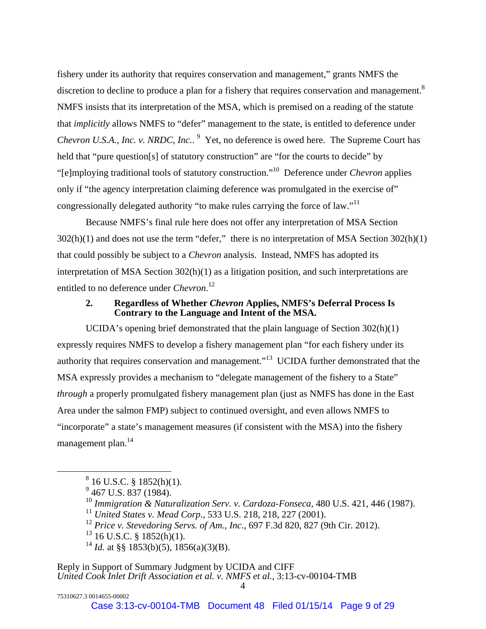fishery under its authority that requires conservation and management," grants NMFS the discretion to decline to produce a plan for a fishery that requires conservation and management.<sup>8</sup> NMFS insists that its interpretation of the MSA, which is premised on a reading of the statute that *implicitly* allows NMFS to "defer" management to the state, is entitled to deference under *Chevron U.S.A., Inc. v. NRDC, Inc..* <sup>9</sup> Yet, no deference is owed here. The Supreme Court has held that "pure question[s] of statutory construction" are "for the courts to decide" by "[e]mploying traditional tools of statutory construction."10 Deference under *Chevron* applies only if "the agency interpretation claiming deference was promulgated in the exercise of" congressionally delegated authority "to make rules carrying the force of law."11

Because NMFS's final rule here does not offer any interpretation of MSA Section 302(h)(1) and does not use the term "defer," there is no interpretation of MSA Section 302(h)(1) that could possibly be subject to a *Chevron* analysis. Instead, NMFS has adopted its interpretation of MSA Section 302(h)(1) as a litigation position, and such interpretations are entitled to no deference under *Chevron*. 12

## **2. Regardless of Whether** *Chevron* **Applies, NMFS's Deferral Process Is Contrary to the Language and Intent of the MSA.**

UCIDA's opening brief demonstrated that the plain language of Section 302(h)(1) expressly requires NMFS to develop a fishery management plan "for each fishery under its authority that requires conservation and management."13 UCIDA further demonstrated that the MSA expressly provides a mechanism to "delegate management of the fishery to a State" *through* a properly promulgated fishery management plan (just as NMFS has done in the East Area under the salmon FMP) subject to continued oversight, and even allows NMFS to "incorporate" a state's management measures (if consistent with the MSA) into the fishery management plan.<sup>14</sup>

- <sup>10</sup> *Immigration & Naturalization Serv. v. Cardoza-Fonseca*, 480 U.S. 421, 446 (1987).
- <sup>11</sup> *United States v. Mead Corp.*, 533 U.S. 218, 218, 227 (2001).

<sup>12</sup> *Price v. Stevedoring Servs. of Am., Inc.*, 697 F.3d 820, 827 (9th Cir. 2012).

 $^{13}$  16 U.S.C. § 1852(h)(1).

<sup>14</sup> *Id.* at §§ 1853(b)(5), 1856(a)(3)(B).

 <sup>8</sup>  $^8$  16 U.S.C. § 1852(h)(1).<br><sup>9</sup> 467 U.S. 837 (1984).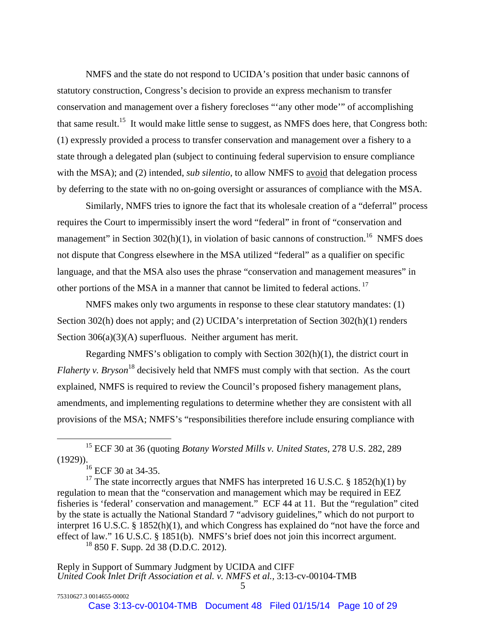NMFS and the state do not respond to UCIDA's position that under basic cannons of statutory construction, Congress's decision to provide an express mechanism to transfer conservation and management over a fishery forecloses "'any other mode'" of accomplishing that same result.<sup>15</sup> It would make little sense to suggest, as NMFS does here, that Congress both: (1) expressly provided a process to transfer conservation and management over a fishery to a state through a delegated plan (subject to continuing federal supervision to ensure compliance with the MSA); and (2) intended, *sub silentio*, to allow NMFS to avoid that delegation process by deferring to the state with no on-going oversight or assurances of compliance with the MSA.

Similarly, NMFS tries to ignore the fact that its wholesale creation of a "deferral" process requires the Court to impermissibly insert the word "federal" in front of "conservation and management" in Section  $302(h)(1)$ , in violation of basic cannons of construction.<sup>16</sup> NMFS does not dispute that Congress elsewhere in the MSA utilized "federal" as a qualifier on specific language, and that the MSA also uses the phrase "conservation and management measures" in other portions of the MSA in a manner that cannot be limited to federal actions. 17

NMFS makes only two arguments in response to these clear statutory mandates: (1) Section 302(h) does not apply; and (2) UCIDA's interpretation of Section 302(h)(1) renders Section 306(a)(3)(A) superfluous. Neither argument has merit.

Regarding NMFS's obligation to comply with Section 302(h)(1), the district court in *Flaherty v. Bryson*<sup>18</sup> decisively held that NMFS must comply with that section. As the court explained, NMFS is required to review the Council's proposed fishery management plans, amendments, and implementing regulations to determine whether they are consistent with all provisions of the MSA; NMFS's "responsibilities therefore include ensuring compliance with

<sup>17</sup> The state incorrectly argues that NMFS has interpreted 16 U.S.C. § 1852(h)(1) by regulation to mean that the "conservation and management which may be required in EEZ fisheries is 'federal' conservation and management." ECF 44 at 11. But the "regulation" cited by the state is actually the National Standard 7 "advisory guidelines," which do not purport to interpret 16 U.S.C. § 1852(h)(1), and which Congress has explained do "not have the force and effect of law." 16 U.S.C. § 1851(b). NMFS's brief does not join this incorrect argument. 18 850 F. Supp. 2d 38 (D.D.C. 2012).

 <sup>15</sup> ECF 30 at 36 (quoting *Botany Worsted Mills v. United States*, 278 U.S. 282, 289 (1929)).

 $^{16}$  ECF 30 at 34-35.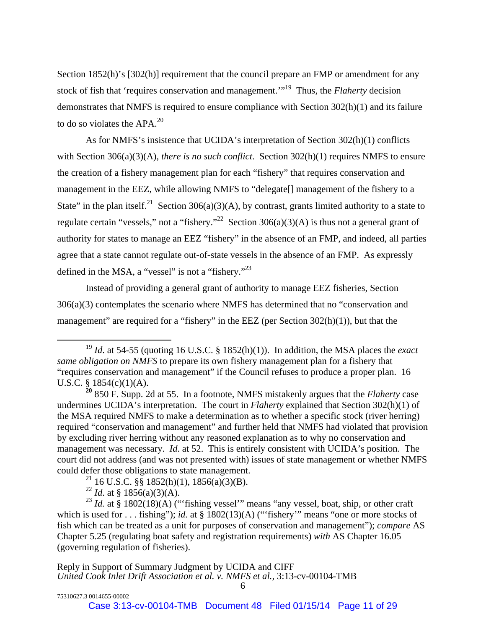Section 1852(h)'s [302(h)] requirement that the council prepare an FMP or amendment for any stock of fish that 'requires conservation and management.'"19 Thus, the *Flaherty* decision demonstrates that NMFS is required to ensure compliance with Section 302(h)(1) and its failure to do so violates the APA.<sup>20</sup>

As for NMFS's insistence that UCIDA's interpretation of Section 302(h)(1) conflicts with Section 306(a)(3)(A), *there is no such conflict*. Section 302(h)(1) requires NMFS to ensure the creation of a fishery management plan for each "fishery" that requires conservation and management in the EEZ, while allowing NMFS to "delegate[] management of the fishery to a State" in the plan itself.<sup>21</sup> Section 306(a)(3)(A), by contrast, grants limited authority to a state to regulate certain "vessels," not a "fishery."<sup>22</sup> Section 306(a)(3)(A) is thus not a general grant of authority for states to manage an EEZ "fishery" in the absence of an FMP, and indeed, all parties agree that a state cannot regulate out-of-state vessels in the absence of an FMP. As expressly defined in the MSA, a "vessel" is not a "fishery."<sup>23</sup>

Instead of providing a general grant of authority to manage EEZ fisheries, Section 306(a)(3) contemplates the scenario where NMFS has determined that no "conservation and management" are required for a "fishery" in the EEZ (per Section  $302(h)(1)$ ), but that the

<sup>21</sup> 16 U.S.C. §§ 1852(h)(1), 1856(a)(3)(B).

<sup>&</sup>lt;sup>19</sup> *Id.* at 54-55 (quoting 16 U.S.C. § 1852(h)(1)). In addition, the MSA places the *exact same obligation on NMFS* to prepare its own fishery management plan for a fishery that "requires conservation and management" if the Council refuses to produce a proper plan. 16 U.S.C.  $§$  1854(c)(1)(A).

**<sup>20</sup>** 850 F. Supp. 2d at 55. In a footnote, NMFS mistakenly argues that the *Flaherty* case undermines UCIDA's interpretation. The court in *Flaherty* explained that Section 302(h)(1) of the MSA required NMFS to make a determination as to whether a specific stock (river herring) required "conservation and management" and further held that NMFS had violated that provision by excluding river herring without any reasoned explanation as to why no conservation and management was necessary. *Id*. at 52. This is entirely consistent with UCIDA's position. The court did not address (and was not presented with) issues of state management or whether NMFS could defer those obligations to state management.

<sup>&</sup>lt;sup>22</sup> *Id.* at § 1856(a)(3)(A).

<sup>&</sup>lt;sup>23</sup> *Id.* at § 1802(18)(A) ("fishing vessel" means "any vessel, boat, ship, or other craft which is used for . . . fishing"); *id.* at § 1802(13)(A) ("fishery" means "one or more stocks of fish which can be treated as a unit for purposes of conservation and management"); *compare* AS Chapter 5.25 (regulating boat safety and registration requirements) *with* AS Chapter 16.05 (governing regulation of fisheries).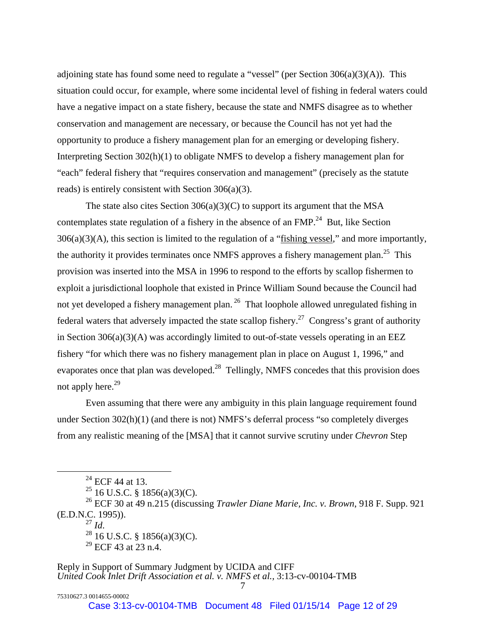adjoining state has found some need to regulate a "vessel" (per Section  $306(a)(3)(A)$ ). This situation could occur, for example, where some incidental level of fishing in federal waters could have a negative impact on a state fishery, because the state and NMFS disagree as to whether conservation and management are necessary, or because the Council has not yet had the opportunity to produce a fishery management plan for an emerging or developing fishery. Interpreting Section 302(h)(1) to obligate NMFS to develop a fishery management plan for "each" federal fishery that "requires conservation and management" (precisely as the statute reads) is entirely consistent with Section 306(a)(3).

The state also cites Section  $306(a)(3)(C)$  to support its argument that the MSA contemplates state regulation of a fishery in the absence of an  $FMP<sup>24</sup>$  But, like Section  $306(a)(3)(A)$ , this section is limited to the regulation of a "fishing vessel," and more importantly, the authority it provides terminates once NMFS approves a fishery management plan.<sup>25</sup> This provision was inserted into the MSA in 1996 to respond to the efforts by scallop fishermen to exploit a jurisdictional loophole that existed in Prince William Sound because the Council had not yet developed a fishery management plan.<sup>26</sup> That loophole allowed unregulated fishing in federal waters that adversely impacted the state scallop fishery.<sup>27</sup> Congress's grant of authority in Section  $306(a)(3)(A)$  was accordingly limited to out-of-state vessels operating in an EEZ fishery "for which there was no fishery management plan in place on August 1, 1996," and evaporates once that plan was developed.<sup>28</sup> Tellingly, NMFS concedes that this provision does not apply here.<sup>29</sup>

Even assuming that there were any ambiguity in this plain language requirement found under Section 302(h)(1) (and there is not) NMFS's deferral process "so completely diverges from any realistic meaning of the [MSA] that it cannot survive scrutiny under *Chevron* Step

Case 3:13-cv-00104-TMB Document 48 Filed 01/15/14 Page 12 of 29

 $^{24}$  ECF 44 at 13.

<sup>&</sup>lt;sup>25</sup> 16 U.S.C. § 1856(a)(3)(C).

<sup>26</sup> ECF 30 at 49 n.215 (discussing *Trawler Diane Marie, Inc. v. Brown*, 918 F. Supp. 921 (E.D.N.C. 1995)).<br> $^{27}$  *Id.* 

<sup>&</sup>lt;sup>28</sup> 16 U.S.C. § 1856(a)(3)(C).

 $29$  ECF 43 at 23 n.4.

Reply in Support of Summary Judgment by UCIDA and CIFF *United Cook Inlet Drift Association et al. v. NMFS et al.,* 3:13-cv-00104-TMB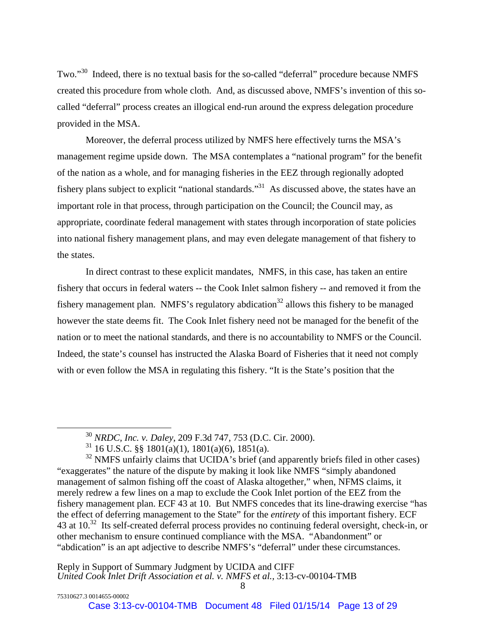Two."<sup>30</sup> Indeed, there is no textual basis for the so-called "deferral" procedure because NMFS created this procedure from whole cloth. And, as discussed above, NMFS's invention of this socalled "deferral" process creates an illogical end-run around the express delegation procedure provided in the MSA.

Moreover, the deferral process utilized by NMFS here effectively turns the MSA's management regime upside down. The MSA contemplates a "national program" for the benefit of the nation as a whole, and for managing fisheries in the EEZ through regionally adopted fishery plans subject to explicit "national standards."31 As discussed above, the states have an important role in that process, through participation on the Council; the Council may, as appropriate, coordinate federal management with states through incorporation of state policies into national fishery management plans, and may even delegate management of that fishery to the states.

In direct contrast to these explicit mandates, NMFS, in this case, has taken an entire fishery that occurs in federal waters -- the Cook Inlet salmon fishery -- and removed it from the fishery management plan. NMFS's regulatory abdication<sup>32</sup> allows this fishery to be managed however the state deems fit. The Cook Inlet fishery need not be managed for the benefit of the nation or to meet the national standards, and there is no accountability to NMFS or the Council. Indeed, the state's counsel has instructed the Alaska Board of Fisheries that it need not comply with or even follow the MSA in regulating this fishery. "It is the State's position that the

 <sup>30</sup> *NRDC, Inc. v. Daley*, 209 F.3d 747, 753 (D.C. Cir. 2000).

 $31$  16 U.S.C. §§ 1801(a)(1), 1801(a)(6), 1851(a).

 $32$  NMFS unfairly claims that UCIDA's brief (and apparently briefs filed in other cases) "exaggerates" the nature of the dispute by making it look like NMFS "simply abandoned management of salmon fishing off the coast of Alaska altogether," when, NFMS claims, it merely redrew a few lines on a map to exclude the Cook Inlet portion of the EEZ from the fishery management plan. ECF 43 at 10. But NMFS concedes that its line-drawing exercise "has the effect of deferring management to the State" for the *entirety* of this important fishery. ECF 43 at 10.<sup>32</sup> Its self-created deferral process provides no continuing federal oversight, check-in, or other mechanism to ensure continued compliance with the MSA. "Abandonment" or "abdication" is an apt adjective to describe NMFS's "deferral" under these circumstances.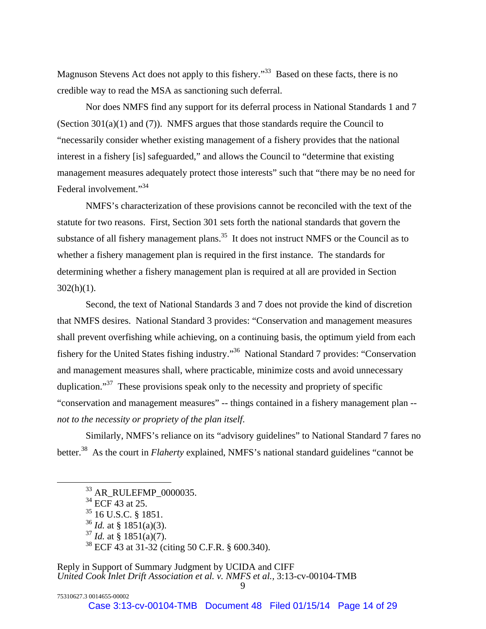Magnuson Stevens Act does not apply to this fishery."<sup>33</sup> Based on these facts, there is no credible way to read the MSA as sanctioning such deferral.

Nor does NMFS find any support for its deferral process in National Standards 1 and 7 (Section  $301(a)(1)$  and (7)). NMFS argues that those standards require the Council to "necessarily consider whether existing management of a fishery provides that the national interest in a fishery [is] safeguarded," and allows the Council to "determine that existing management measures adequately protect those interests" such that "there may be no need for Federal involvement."<sup>34</sup>

NMFS's characterization of these provisions cannot be reconciled with the text of the statute for two reasons. First, Section 301 sets forth the national standards that govern the substance of all fishery management plans.<sup>35</sup> It does not instruct NMFS or the Council as to whether a fishery management plan is required in the first instance. The standards for determining whether a fishery management plan is required at all are provided in Section  $302(h)(1)$ .

Second, the text of National Standards 3 and 7 does not provide the kind of discretion that NMFS desires. National Standard 3 provides: "Conservation and management measures shall prevent overfishing while achieving, on a continuing basis, the optimum yield from each fishery for the United States fishing industry."36 National Standard 7 provides: "Conservation and management measures shall, where practicable, minimize costs and avoid unnecessary duplication."<sup>37</sup> These provisions speak only to the necessity and propriety of specific "conservation and management measures" -- things contained in a fishery management plan - *not to the necessity or propriety of the plan itself*.

Similarly, NMFS's reliance on its "advisory guidelines" to National Standard 7 fares no better.<sup>38</sup> As the court in *Flaherty* explained, NMFS's national standard guidelines "cannot be

 <sup>33</sup> AR\_RULEFMP\_0000035.

 $34$  ECF 43 at 25.

<sup>35 16</sup> U.S.C. § 1851.

<sup>36</sup> *Id.* at § 1851(a)(3).

 $37$  *Id.* at § 1851(a)(7).

<sup>38</sup> ECF 43 at 31-32 (citing 50 C.F.R. § 600.340).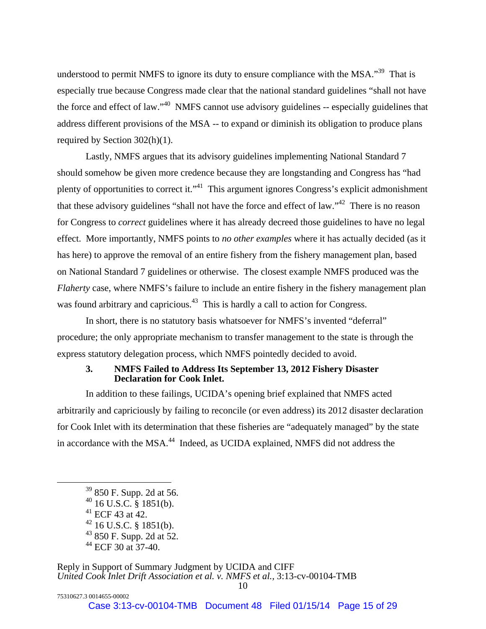understood to permit NMFS to ignore its duty to ensure compliance with the MSA."<sup>39</sup> That is especially true because Congress made clear that the national standard guidelines "shall not have the force and effect of law."40 NMFS cannot use advisory guidelines -- especially guidelines that address different provisions of the MSA -- to expand or diminish its obligation to produce plans required by Section 302(h)(1).

Lastly, NMFS argues that its advisory guidelines implementing National Standard 7 should somehow be given more credence because they are longstanding and Congress has "had plenty of opportunities to correct it."41 This argument ignores Congress's explicit admonishment that these advisory guidelines "shall not have the force and effect of law."42 There is no reason for Congress to *correct* guidelines where it has already decreed those guidelines to have no legal effect. More importantly, NMFS points to *no other examples* where it has actually decided (as it has here) to approve the removal of an entire fishery from the fishery management plan, based on National Standard 7 guidelines or otherwise. The closest example NMFS produced was the *Flaherty* case, where NMFS's failure to include an entire fishery in the fishery management plan was found arbitrary and capricious.<sup>43</sup> This is hardly a call to action for Congress.

In short, there is no statutory basis whatsoever for NMFS's invented "deferral" procedure; the only appropriate mechanism to transfer management to the state is through the express statutory delegation process, which NMFS pointedly decided to avoid.

## **3. NMFS Failed to Address Its September 13, 2012 Fishery Disaster Declaration for Cook Inlet.**

In addition to these failings, UCIDA's opening brief explained that NMFS acted arbitrarily and capriciously by failing to reconcile (or even address) its 2012 disaster declaration for Cook Inlet with its determination that these fisheries are "adequately managed" by the state in accordance with the MSA.<sup>44</sup> Indeed, as UCIDA explained, NMFS did not address the

75310627.3 0014655-00002

 <sup>39 850</sup> F. Supp. 2d at 56.

 $40$  16 U.S.C. § 1851(b).

 $41$  ECF 43 at 42.

 $42$  16 U.S.C. § 1851(b).

 $43$  850 F. Supp. 2d at 52.

 $44$  ECF 30 at 37-40.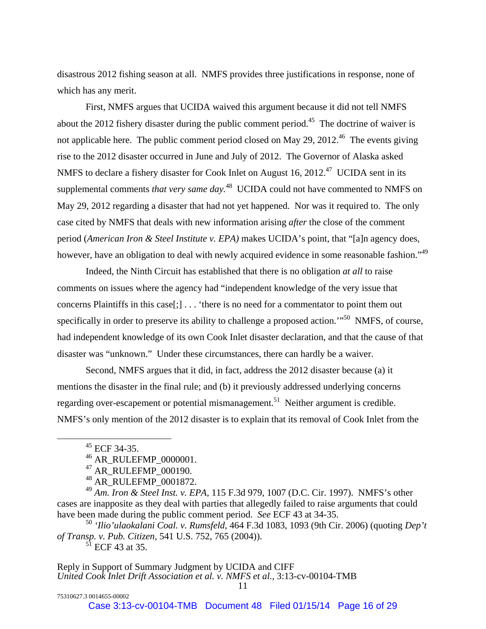disastrous 2012 fishing season at all. NMFS provides three justifications in response, none of which has any merit.

First, NMFS argues that UCIDA waived this argument because it did not tell NMFS about the 2012 fishery disaster during the public comment period.<sup>45</sup> The doctrine of waiver is not applicable here. The public comment period closed on May 29, 2012.<sup>46</sup> The events giving rise to the 2012 disaster occurred in June and July of 2012. The Governor of Alaska asked NMFS to declare a fishery disaster for Cook Inlet on August 16, 2012.<sup>47</sup> UCIDA sent in its supplemental comments *that very same day*.<sup>48</sup> UCIDA could not have commented to NMFS on May 29, 2012 regarding a disaster that had not yet happened. Nor was it required to. The only case cited by NMFS that deals with new information arising *after* the close of the comment period (*American Iron & Steel Institute v. EPA)* makes UCIDA's point, that "[a]n agency does, however, have an obligation to deal with newly acquired evidence in some reasonable fashion."<sup>49</sup>

Indeed, the Ninth Circuit has established that there is no obligation *at all* to raise comments on issues where the agency had "independent knowledge of the very issue that concerns Plaintiffs in this case[;] . . . 'there is no need for a commentator to point them out specifically in order to preserve its ability to challenge a proposed action."<sup>50</sup> NMFS, of course, had independent knowledge of its own Cook Inlet disaster declaration, and that the cause of that disaster was "unknown." Under these circumstances, there can hardly be a waiver.

Second, NMFS argues that it did, in fact, address the 2012 disaster because (a) it mentions the disaster in the final rule; and (b) it previously addressed underlying concerns regarding over-escapement or potential mismanagement.<sup>51</sup> Neither argument is credible. NMFS's only mention of the 2012 disaster is to explain that its removal of Cook Inlet from the

75310627.3 0014655-00002

<sup>50</sup> *'Ilio'ulaokalani Coal. v. Rumsfeld*, 464 F.3d 1083, 1093 (9th Cir. 2006) (quoting *Dep't of Transp. v. Pub. Citizen,* 541 U.S. 752, 765 (2004)).  $51$  ECF 43 at 35.

 <sup>45</sup> ECF 34-35.

<sup>46</sup> AR\_RULEFMP\_0000001.

<sup>&</sup>lt;sup>47</sup> AR\_RULEFMP\_000190.

<sup>48</sup> AR\_RULEFMP\_0001872.

<sup>49</sup> *Am. Iron & Steel Inst. v. EPA,* 115 F.3d 979, 1007 (D.C. Cir. 1997). NMFS's other cases are inapposite as they deal with parties that allegedly failed to raise arguments that could have been made during the public comment period. *See* ECF 43 at 34-35.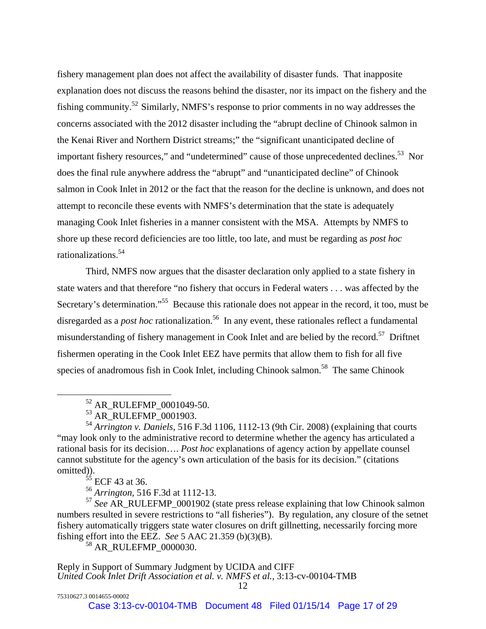fishery management plan does not affect the availability of disaster funds. That inapposite explanation does not discuss the reasons behind the disaster, nor its impact on the fishery and the fishing community.52 Similarly, NMFS's response to prior comments in no way addresses the concerns associated with the 2012 disaster including the "abrupt decline of Chinook salmon in the Kenai River and Northern District streams;" the "significant unanticipated decline of important fishery resources," and "undetermined" cause of those unprecedented declines.<sup>53</sup> Nor does the final rule anywhere address the "abrupt" and "unanticipated decline" of Chinook salmon in Cook Inlet in 2012 or the fact that the reason for the decline is unknown, and does not attempt to reconcile these events with NMFS's determination that the state is adequately managing Cook Inlet fisheries in a manner consistent with the MSA. Attempts by NMFS to shore up these record deficiencies are too little, too late, and must be regarding as *post hoc* rationalizations.54

Third, NMFS now argues that the disaster declaration only applied to a state fishery in state waters and that therefore "no fishery that occurs in Federal waters . . . was affected by the Secretary's determination."<sup>55</sup> Because this rationale does not appear in the record, it too, must be disregarded as a *post hoc* rationalization.<sup>56</sup> In any event, these rationales reflect a fundamental misunderstanding of fishery management in Cook Inlet and are belied by the record.<sup>57</sup> Driftnet fishermen operating in the Cook Inlet EEZ have permits that allow them to fish for all five species of anadromous fish in Cook Inlet, including Chinook salmon.<sup>58</sup> The same Chinook

<sup>54</sup> *Arrington v. Daniels*, 516 F.3d 1106, 1112-13 (9th Cir. 2008) (explaining that courts "may look only to the administrative record to determine whether the agency has articulated a rational basis for its decision…. *Post hoc* explanations of agency action by appellate counsel cannot substitute for the agency's own articulation of the basis for its decision." (citations omitted)).

 $55$  ECF 43 at 36.

75310627.3 0014655-00002

<sup>56</sup> *Arrington,* 516 F.3d at 1112-13.

<sup>57</sup> *See* AR\_RULEFMP\_0001902 (state press release explaining that low Chinook salmon numbers resulted in severe restrictions to "all fisheries"). By regulation, any closure of the setnet fishery automatically triggers state water closures on drift gillnetting, necessarily forcing more fishing effort into the EEZ. *See* 5 AAC 21.359 (b)(3)(B).

<sup>58</sup> AR\_RULEFMP\_0000030.

 <sup>52</sup> AR\_RULEFMP\_0001049-50.

<sup>&</sup>lt;sup>53</sup> AR\_RULEFMP\_0001903.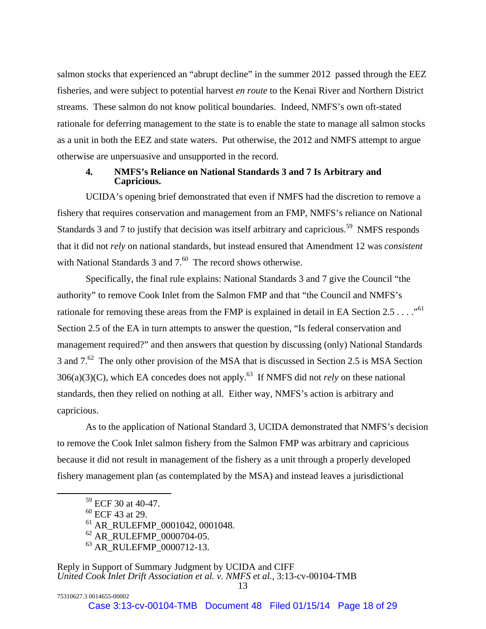salmon stocks that experienced an "abrupt decline" in the summer 2012 passed through the EEZ fisheries, and were subject to potential harvest *en route* to the Kenai River and Northern District streams. These salmon do not know political boundaries. Indeed, NMFS's own oft-stated rationale for deferring management to the state is to enable the state to manage all salmon stocks as a unit in both the EEZ and state waters. Put otherwise, the 2012 and NMFS attempt to argue otherwise are unpersuasive and unsupported in the record.

## **4. NMFS's Reliance on National Standards 3 and 7 Is Arbitrary and Capricious.**

UCIDA's opening brief demonstrated that even if NMFS had the discretion to remove a fishery that requires conservation and management from an FMP, NMFS's reliance on National Standards 3 and 7 to justify that decision was itself arbitrary and capricious.<sup>59</sup> NMFS responds that it did not *rely* on national standards, but instead ensured that Amendment 12 was *consistent* with National Standards  $3$  and  $7<sup>60</sup>$  The record shows otherwise.

Specifically, the final rule explains: National Standards 3 and 7 give the Council "the authority" to remove Cook Inlet from the Salmon FMP and that "the Council and NMFS's rationale for removing these areas from the FMP is explained in detail in EA Section 2.5 . . . ."<sup>61</sup> Section 2.5 of the EA in turn attempts to answer the question, "Is federal conservation and management required?" and then answers that question by discussing (only) National Standards 3 and  $7<sup>62</sup>$  The only other provision of the MSA that is discussed in Section 2.5 is MSA Section  $306(a)(3)(C)$ , which EA concedes does not apply.<sup>63</sup> If NMFS did not *rely* on these national standards, then they relied on nothing at all. Either way, NMFS's action is arbitrary and capricious.

As to the application of National Standard 3, UCIDA demonstrated that NMFS's decision to remove the Cook Inlet salmon fishery from the Salmon FMP was arbitrary and capricious because it did not result in management of the fishery as a unit through a properly developed fishery management plan (as contemplated by the MSA) and instead leaves a jurisdictional

75310627.3 0014655-00002

61 AR\_RULEFMP\_0001042, 0001048.

 <sup>59</sup> ECF 30 at 40-47.

<sup>60</sup> ECF 43 at 29.

 $62$  AR\_RULEFMP\_0000704-05.

<sup>&</sup>lt;sup>63</sup> AR\_RULEFMP\_0000712-13.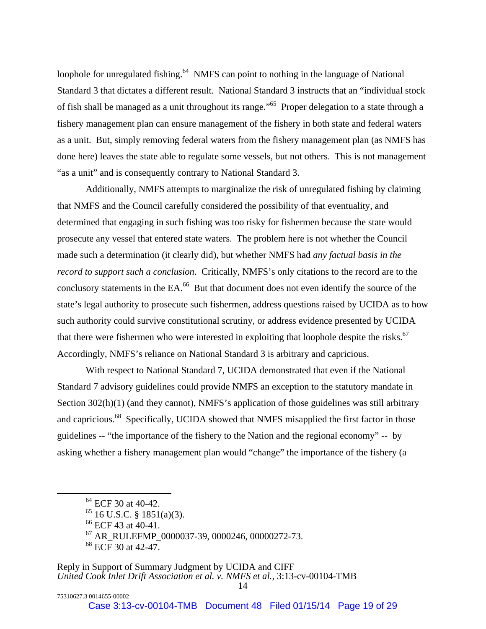loophole for unregulated fishing.<sup>64</sup> NMFS can point to nothing in the language of National Standard 3 that dictates a different result. National Standard 3 instructs that an "individual stock of fish shall be managed as a unit throughout its range."65 Proper delegation to a state through a fishery management plan can ensure management of the fishery in both state and federal waters as a unit. But, simply removing federal waters from the fishery management plan (as NMFS has done here) leaves the state able to regulate some vessels, but not others. This is not management "as a unit" and is consequently contrary to National Standard 3.

Additionally, NMFS attempts to marginalize the risk of unregulated fishing by claiming that NMFS and the Council carefully considered the possibility of that eventuality, and determined that engaging in such fishing was too risky for fishermen because the state would prosecute any vessel that entered state waters. The problem here is not whether the Council made such a determination (it clearly did), but whether NMFS had *any factual basis in the record to support such a conclusion*. Critically, NMFS's only citations to the record are to the conclusory statements in the EA.<sup>66</sup> But that document does not even identify the source of the state's legal authority to prosecute such fishermen, address questions raised by UCIDA as to how such authority could survive constitutional scrutiny, or address evidence presented by UCIDA that there were fishermen who were interested in exploiting that loophole despite the risks.<sup>67</sup> Accordingly, NMFS's reliance on National Standard 3 is arbitrary and capricious.

With respect to National Standard 7, UCIDA demonstrated that even if the National Standard 7 advisory guidelines could provide NMFS an exception to the statutory mandate in Section 302(h)(1) (and they cannot), NMFS's application of those guidelines was still arbitrary and capricious.<sup>68</sup> Specifically, UCIDA showed that NMFS misapplied the first factor in those guidelines -- "the importance of the fishery to the Nation and the regional economy" -- by asking whether a fishery management plan would "change" the importance of the fishery (a

75310627.3 0014655-00002

<sup>&</sup>lt;sup>64</sup> ECF 30 at 40-42.

 $65$  16 U.S.C. § 1851(a)(3).

<sup>&</sup>lt;sup>66</sup> ECF 43 at 40-41.

<sup>67</sup> AR\_RULEFMP\_0000037-39, 0000246, 00000272-73.

<sup>&</sup>lt;sup>68</sup> ECF 30 at 42-47.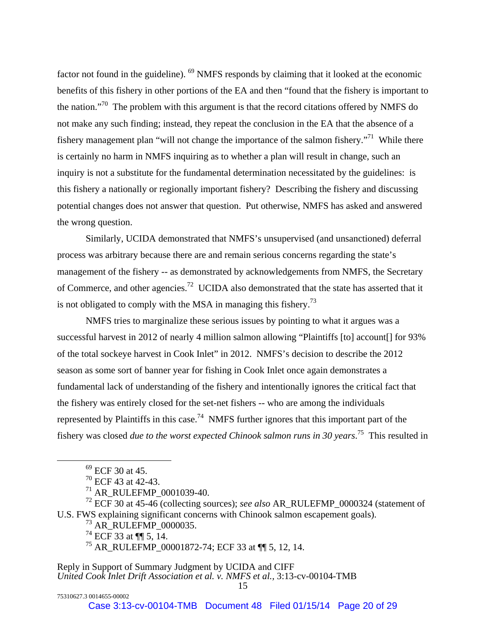factor not found in the guideline). 69 NMFS responds by claiming that it looked at the economic benefits of this fishery in other portions of the EA and then "found that the fishery is important to the nation."70 The problem with this argument is that the record citations offered by NMFS do not make any such finding; instead, they repeat the conclusion in the EA that the absence of a fishery management plan "will not change the importance of the salmon fishery."<sup>71</sup> While there is certainly no harm in NMFS inquiring as to whether a plan will result in change, such an inquiry is not a substitute for the fundamental determination necessitated by the guidelines: is this fishery a nationally or regionally important fishery? Describing the fishery and discussing potential changes does not answer that question. Put otherwise, NMFS has asked and answered the wrong question.

Similarly, UCIDA demonstrated that NMFS's unsupervised (and unsanctioned) deferral process was arbitrary because there are and remain serious concerns regarding the state's management of the fishery -- as demonstrated by acknowledgements from NMFS, the Secretary of Commerce, and other agencies.72 UCIDA also demonstrated that the state has asserted that it is not obligated to comply with the MSA in managing this fishery.<sup>73</sup>

NMFS tries to marginalize these serious issues by pointing to what it argues was a successful harvest in 2012 of nearly 4 million salmon allowing "Plaintiffs [to] account[] for 93% of the total sockeye harvest in Cook Inlet" in 2012. NMFS's decision to describe the 2012 season as some sort of banner year for fishing in Cook Inlet once again demonstrates a fundamental lack of understanding of the fishery and intentionally ignores the critical fact that the fishery was entirely closed for the set-net fishers -- who are among the individuals represented by Plaintiffs in this case.<sup>74</sup> NMFS further ignores that this important part of the fishery was closed *due to the worst expected Chinook salmon runs in 30 years*. 75 This resulted in

72 ECF 30 at 45-46 (collecting sources); *see also* AR\_RULEFMP\_0000324 (statement of U.S. FWS explaining significant concerns with Chinook salmon escapement goals).

73 AR\_RULEFMP\_0000035.

 $74$  ECF 33 at ¶ 15, 14.

75 AR\_RULEFMP\_00001872-74; ECF 33 at ¶¶ 5, 12, 14.

Reply in Support of Summary Judgment by UCIDA and CIFF *United Cook Inlet Drift Association et al. v. NMFS et al.,* 3:13-cv-00104-TMB

Case 3:13-cv-00104-TMB Document 48 Filed 01/15/14 Page 20 of 29

 $^{69}$  ECF 30 at 45.

 $70$  ECF 43 at 42-43.

<sup>71</sup> AR\_RULEFMP\_0001039-40.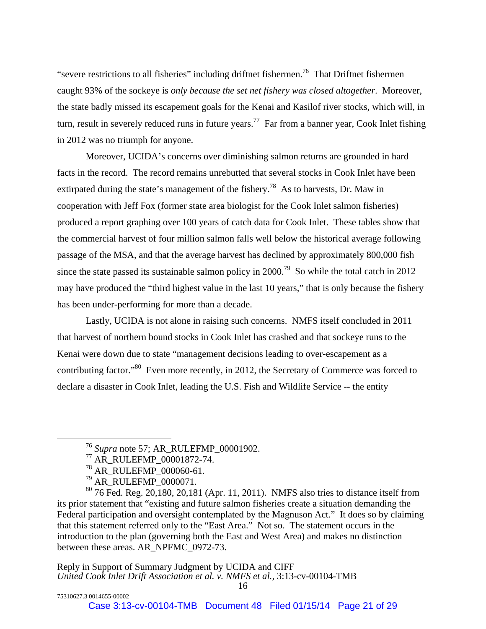"severe restrictions to all fisheries" including driftnet fishermen.<sup>76</sup> That Driftnet fishermen caught 93% of the sockeye is *only because the set net fishery was closed altogether*. Moreover, the state badly missed its escapement goals for the Kenai and Kasilof river stocks, which will, in turn, result in severely reduced runs in future years.<sup>77</sup> Far from a banner year, Cook Inlet fishing in 2012 was no triumph for anyone.

Moreover, UCIDA's concerns over diminishing salmon returns are grounded in hard facts in the record. The record remains unrebutted that several stocks in Cook Inlet have been extirpated during the state's management of the fishery.<sup>78</sup> As to harvests, Dr. Maw in cooperation with Jeff Fox (former state area biologist for the Cook Inlet salmon fisheries) produced a report graphing over 100 years of catch data for Cook Inlet. These tables show that the commercial harvest of four million salmon falls well below the historical average following passage of the MSA, and that the average harvest has declined by approximately 800,000 fish since the state passed its sustainable salmon policy in  $2000$ .<sup>79</sup> So while the total catch in 2012 may have produced the "third highest value in the last 10 years," that is only because the fishery has been under-performing for more than a decade.

Lastly, UCIDA is not alone in raising such concerns. NMFS itself concluded in 2011 that harvest of northern bound stocks in Cook Inlet has crashed and that sockeye runs to the Kenai were down due to state "management decisions leading to over-escapement as a contributing factor."80 Even more recently, in 2012, the Secretary of Commerce was forced to declare a disaster in Cook Inlet, leading the U.S. Fish and Wildlife Service -- the entity

 <sup>76</sup> *Supra* note 57; AR\_RULEFMP\_00001902.

<sup>77</sup> AR\_RULEFMP\_00001872-74.

<sup>&</sup>lt;sup>78</sup> AR\_RULEFMP\_000060-61.

<sup>&</sup>lt;sup>79</sup> AR\_RULEFMP\_0000071.

 $80\,76$  Fed. Reg. 20,180, 20,181 (Apr. 11, 2011). NMFS also tries to distance itself from its prior statement that "existing and future salmon fisheries create a situation demanding the Federal participation and oversight contemplated by the Magnuson Act." It does so by claiming that this statement referred only to the "East Area." Not so. The statement occurs in the introduction to the plan (governing both the East and West Area) and makes no distinction between these areas. AR\_NPFMC\_0972-73.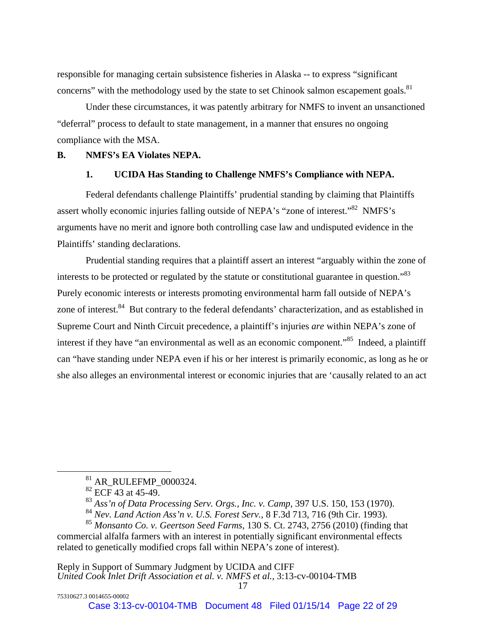responsible for managing certain subsistence fisheries in Alaska -- to express "significant concerns" with the methodology used by the state to set Chinook salmon escapement goals.<sup>81</sup>

Under these circumstances, it was patently arbitrary for NMFS to invent an unsanctioned "deferral" process to default to state management, in a manner that ensures no ongoing compliance with the MSA.

#### **B. NMFS's EA Violates NEPA.**

#### **1. UCIDA Has Standing to Challenge NMFS's Compliance with NEPA.**

Federal defendants challenge Plaintiffs' prudential standing by claiming that Plaintiffs assert wholly economic injuries falling outside of NEPA's "zone of interest."<sup>82</sup> NMFS's arguments have no merit and ignore both controlling case law and undisputed evidence in the Plaintiffs' standing declarations.

Prudential standing requires that a plaintiff assert an interest "arguably within the zone of interests to be protected or regulated by the statute or constitutional guarantee in question.<sup>83</sup> Purely economic interests or interests promoting environmental harm fall outside of NEPA's zone of interest.<sup>84</sup> But contrary to the federal defendants' characterization, and as established in Supreme Court and Ninth Circuit precedence, a plaintiff's injuries *are* within NEPA's zone of interest if they have "an environmental as well as an economic component."<sup>85</sup> Indeed, a plaintiff can "have standing under NEPA even if his or her interest is primarily economic, as long as he or she also alleges an environmental interest or economic injuries that are 'causally related to an act

75310627.3 0014655-00002

 $81$  AR\_RULEFMP\_0000324.

 $82$  ECF 43 at 45-49.

<sup>83</sup> *Ass'n of Data Processing Serv. Orgs., Inc. v. Camp*, 397 U.S. 150, 153 (1970).

<sup>84</sup> *Nev. Land Action Ass'n v. U.S. Forest Serv.*, 8 F.3d 713, 716 (9th Cir. 1993).

<sup>85</sup> *Monsanto Co. v. Geertson Seed Farms*, 130 S. Ct. 2743, 2756 (2010) (finding that commercial alfalfa farmers with an interest in potentially significant environmental effects related to genetically modified crops fall within NEPA's zone of interest).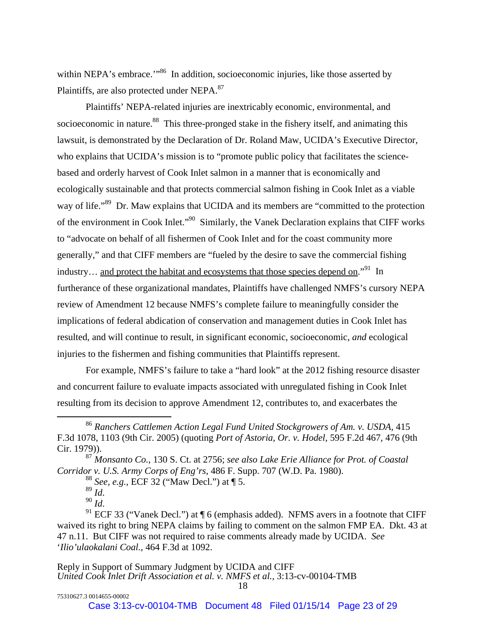within NEPA's embrace."<sup>86</sup> In addition, socioeconomic injuries, like those asserted by Plaintiffs, are also protected under NEPA.<sup>87</sup>

Plaintiffs' NEPA-related injuries are inextricably economic, environmental, and socioeconomic in nature.<sup>88</sup> This three-pronged stake in the fishery itself, and animating this lawsuit, is demonstrated by the Declaration of Dr. Roland Maw, UCIDA's Executive Director, who explains that UCIDA's mission is to "promote public policy that facilitates the sciencebased and orderly harvest of Cook Inlet salmon in a manner that is economically and ecologically sustainable and that protects commercial salmon fishing in Cook Inlet as a viable way of life."<sup>89</sup> Dr. Maw explains that UCIDA and its members are "committed to the protection" of the environment in Cook Inlet."90 Similarly, the Vanek Declaration explains that CIFF works to "advocate on behalf of all fishermen of Cook Inlet and for the coast community more generally," and that CIFF members are "fueled by the desire to save the commercial fishing industry... and protect the habitat and ecosystems that those species depend on."<sup>91</sup> In furtherance of these organizational mandates, Plaintiffs have challenged NMFS's cursory NEPA review of Amendment 12 because NMFS's complete failure to meaningfully consider the implications of federal abdication of conservation and management duties in Cook Inlet has resulted, and will continue to result, in significant economic, socioeconomic, *and* ecological injuries to the fishermen and fishing communities that Plaintiffs represent.

For example, NMFS's failure to take a "hard look" at the 2012 fishing resource disaster and concurrent failure to evaluate impacts associated with unregulated fishing in Cook Inlet resulting from its decision to approve Amendment 12, contributes to, and exacerbates the

 <sup>86</sup> *Ranchers Cattlemen Action Legal Fund United Stockgrowers of Am. v. USDA,* <sup>415</sup> F.3d 1078, 1103 (9th Cir. 2005) (quoting *Port of Astoria, Or. v. Hodel*, 595 F.2d 467, 476 (9th Cir. 1979)).

<sup>87</sup> *Monsanto Co.*, 130 S. Ct. at 2756; *see also Lake Erie Alliance for Prot. of Coastal Corridor v. U.S. Army Corps of Eng'rs*, 486 F. Supp. 707 (W.D. Pa. 1980).

<sup>88</sup> *See, e.g.,* ECF 32 ("Maw Decl.") at ¶ 5.

<sup>&</sup>lt;sup>90</sup> *Id*.<br><sup>91</sup> ECF 33 ("Vanek Decl.") at ¶ 6 (emphasis added). NFMS avers in a footnote that CIFF waived its right to bring NEPA claims by failing to comment on the salmon FMP EA. Dkt. 43 at 47 n.11. But CIFF was not required to raise comments already made by UCIDA. *See* '*Ilio'ulaokalani Coal.*, 464 F.3d at 1092.

Reply in Support of Summary Judgment by UCIDA and CIFF *United Cook Inlet Drift Association et al. v. NMFS et al.,* 3:13-cv-00104-TMB 18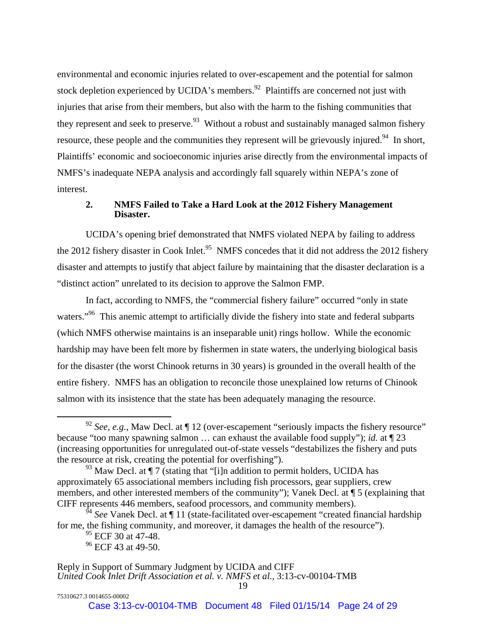environmental and economic injuries related to over-escapement and the potential for salmon stock depletion experienced by UCIDA's members. $92$  Plaintiffs are concerned not just with injuries that arise from their members, but also with the harm to the fishing communities that they represent and seek to preserve.<sup>93</sup> Without a robust and sustainably managed salmon fishery resource, these people and the communities they represent will be grievously injured.<sup>94</sup> In short, Plaintiffs' economic and socioeconomic injuries arise directly from the environmental impacts of NMFS's inadequate NEPA analysis and accordingly fall squarely within NEPA's zone of interest.

### **2. NMFS Failed to Take a Hard Look at the 2012 Fishery Management Disaster.**

UCIDA's opening brief demonstrated that NMFS violated NEPA by failing to address the 2012 fishery disaster in Cook Inlet.<sup>95</sup> NMFS concedes that it did not address the 2012 fishery disaster and attempts to justify that abject failure by maintaining that the disaster declaration is a "distinct action" unrelated to its decision to approve the Salmon FMP.

In fact, according to NMFS, the "commercial fishery failure" occurred "only in state waters."<sup>96</sup> This anemic attempt to artificially divide the fishery into state and federal subparts (which NMFS otherwise maintains is an inseparable unit) rings hollow. While the economic hardship may have been felt more by fishermen in state waters, the underlying biological basis for the disaster (the worst Chinook returns in 30 years) is grounded in the overall health of the entire fishery. NMFS has an obligation to reconcile those unexplained low returns of Chinook salmon with its insistence that the state has been adequately managing the resource.

<sup>&</sup>lt;sup>92</sup> *See, e.g.*, Maw Decl. at  $\P$  12 (over-escapement "seriously impacts the fishery resource" because "too many spawning salmon … can exhaust the available food supply"); *id.* at ¶ 23 (increasing opportunities for unregulated out-of-state vessels "destabilizes the fishery and puts the resource at risk, creating the potential for overfishing").

 $^{93}$  Maw Decl. at  $\P$  7 (stating that "[i]n addition to permit holders, UCIDA has approximately 65 associational members including fish processors, gear suppliers, crew members, and other interested members of the community"); Vanek Decl. at ¶ 5 (explaining that CIFF represents 446 members, seafood processors, and community members).

<sup>94</sup> *See* Vanek Decl. at ¶ 11 (state-facilitated over-escapement "created financial hardship for me, the fishing community, and moreover, it damages the health of the resource").

 $95$  ECF 30 at 47-48.

 $96$  ECF 43 at 49-50.

Reply in Support of Summary Judgment by UCIDA and CIFF *United Cook Inlet Drift Association et al. v. NMFS et al.,* 3:13-cv-00104-TMB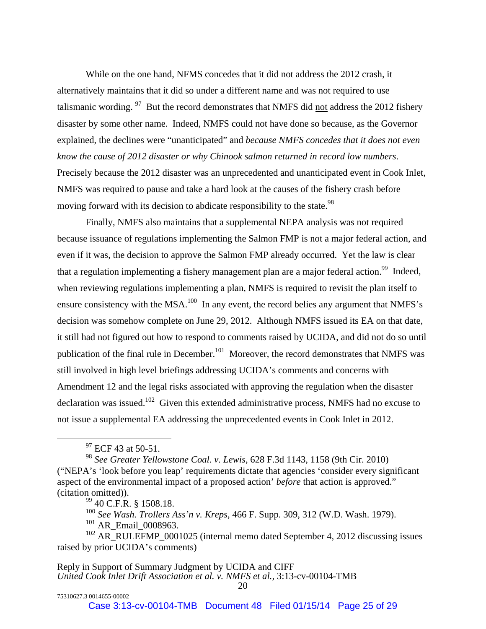While on the one hand, NFMS concedes that it did not address the 2012 crash, it alternatively maintains that it did so under a different name and was not required to use talismanic wording.  $97$  But the record demonstrates that NMFS did not address the 2012 fishery disaster by some other name. Indeed, NMFS could not have done so because, as the Governor explained, the declines were "unanticipated" and *because NMFS concedes that it does not even know the cause of 2012 disaster or why Chinook salmon returned in record low numbers*. Precisely because the 2012 disaster was an unprecedented and unanticipated event in Cook Inlet, NMFS was required to pause and take a hard look at the causes of the fishery crash before moving forward with its decision to abdicate responsibility to the state.<sup>98</sup>

Finally, NMFS also maintains that a supplemental NEPA analysis was not required because issuance of regulations implementing the Salmon FMP is not a major federal action, and even if it was, the decision to approve the Salmon FMP already occurred. Yet the law is clear that a regulation implementing a fishery management plan are a major federal action.<sup>99</sup> Indeed, when reviewing regulations implementing a plan, NMFS is required to revisit the plan itself to ensure consistency with the MSA.<sup>100</sup> In any event, the record belies any argument that NMFS's decision was somehow complete on June 29, 2012. Although NMFS issued its EA on that date, it still had not figured out how to respond to comments raised by UCIDA, and did not do so until publication of the final rule in December.<sup>101</sup> Moreover, the record demonstrates that NMFS was still involved in high level briefings addressing UCIDA's comments and concerns with Amendment 12 and the legal risks associated with approving the regulation when the disaster declaration was issued.<sup>102</sup> Given this extended administrative process, NMFS had no excuse to not issue a supplemental EA addressing the unprecedented events in Cook Inlet in 2012.

75310627.3 0014655-00002

<sup>&</sup>lt;sup>97</sup> ECF 43 at 50-51.

<sup>98</sup> *See Greater Yellowstone Coal. v. Lewis*, 628 F.3d 1143, 1158 (9th Cir. 2010) ("NEPA's 'look before you leap' requirements dictate that agencies 'consider every significant aspect of the environmental impact of a proposed action' *before* that action is approved." (citation omitted)).

<sup>99 40</sup> C.F.R. § 1508.18.

<sup>100</sup> *See Wash. Trollers Ass'n v. Kreps*, 466 F. Supp. 309, 312 (W.D. Wash. 1979). <sup>101</sup> AR\_Email\_0008963.

<sup>&</sup>lt;sup>102</sup> AR\_RULEFMP\_0001025 (internal memo dated September 4, 2012 discussing issues raised by prior UCIDA's comments)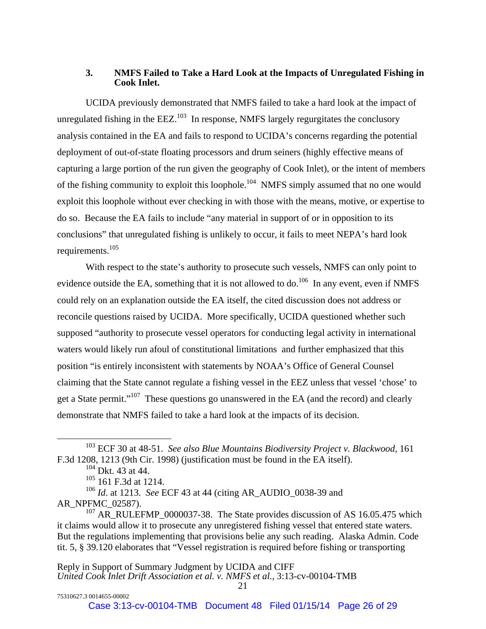### **3. NMFS Failed to Take a Hard Look at the Impacts of Unregulated Fishing in Cook Inlet.**

UCIDA previously demonstrated that NMFS failed to take a hard look at the impact of unregulated fishing in the  $EEZ$ <sup>103</sup> In response, NMFS largely regurgitates the conclusory analysis contained in the EA and fails to respond to UCIDA's concerns regarding the potential deployment of out-of-state floating processors and drum seiners (highly effective means of capturing a large portion of the run given the geography of Cook Inlet), or the intent of members of the fishing community to exploit this loophole.<sup>104</sup> NMFS simply assumed that no one would exploit this loophole without ever checking in with those with the means, motive, or expertise to do so. Because the EA fails to include "any material in support of or in opposition to its conclusions" that unregulated fishing is unlikely to occur, it fails to meet NEPA's hard look requirements.105

With respect to the state's authority to prosecute such vessels, NMFS can only point to evidence outside the EA, something that it is not allowed to do.<sup>106</sup> In any event, even if NMFS could rely on an explanation outside the EA itself, the cited discussion does not address or reconcile questions raised by UCIDA. More specifically, UCIDA questioned whether such supposed "authority to prosecute vessel operators for conducting legal activity in international waters would likely run afoul of constitutional limitations and further emphasized that this position "is entirely inconsistent with statements by NOAA's Office of General Counsel claiming that the State cannot regulate a fishing vessel in the EEZ unless that vessel 'chose' to get a State permit."107 These questions go unanswered in the EA (and the record) and clearly demonstrate that NMFS failed to take a hard look at the impacts of its decision.

<sup>107</sup> AR\_RULEFMP\_0000037-38. The State provides discussion of AS 16.05.475 which it claims would allow it to prosecute any unregistered fishing vessel that entered state waters. But the regulations implementing that provisions belie any such reading. Alaska Admin. Code tit. 5, § 39.120 elaborates that "Vessel registration is required before fishing or transporting

 <sup>103</sup> ECF 30 at 48-51. *See also Blue Mountains Biodiversity Project v. Blackwood,* <sup>161</sup> F.3d 1208, 1213 (9th Cir. 1998) (justification must be found in the EA itself).

 $104$  Dkt. 43 at 44.

<sup>105 161</sup> F.3d at 1214.

<sup>106</sup> *Id*. at 1213. *See* ECF 43 at 44 (citing AR\_AUDIO\_0038-39 and AR\_NPFMC\_02587).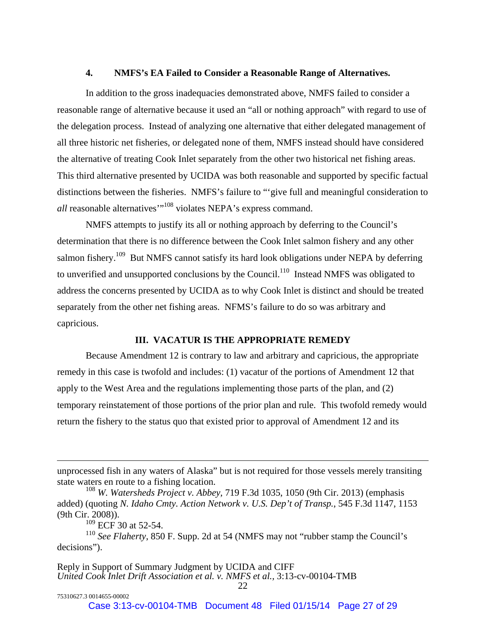#### **4. NMFS's EA Failed to Consider a Reasonable Range of Alternatives.**

In addition to the gross inadequacies demonstrated above, NMFS failed to consider a reasonable range of alternative because it used an "all or nothing approach" with regard to use of the delegation process. Instead of analyzing one alternative that either delegated management of all three historic net fisheries, or delegated none of them, NMFS instead should have considered the alternative of treating Cook Inlet separately from the other two historical net fishing areas. This third alternative presented by UCIDA was both reasonable and supported by specific factual distinctions between the fisheries. NMFS's failure to "'give full and meaningful consideration to *all* reasonable alternatives<sup>"108</sup> violates NEPA's express command.

NMFS attempts to justify its all or nothing approach by deferring to the Council's determination that there is no difference between the Cook Inlet salmon fishery and any other salmon fishery.<sup>109</sup> But NMFS cannot satisfy its hard look obligations under NEPA by deferring to unverified and unsupported conclusions by the Council.<sup>110</sup> Instead NMFS was obligated to address the concerns presented by UCIDA as to why Cook Inlet is distinct and should be treated separately from the other net fishing areas. NFMS's failure to do so was arbitrary and capricious.

#### **III. VACATUR IS THE APPROPRIATE REMEDY**

Because Amendment 12 is contrary to law and arbitrary and capricious, the appropriate remedy in this case is twofold and includes: (1) vacatur of the portions of Amendment 12 that apply to the West Area and the regulations implementing those parts of the plan, and (2) temporary reinstatement of those portions of the prior plan and rule. This twofold remedy would return the fishery to the status quo that existed prior to approval of Amendment 12 and its

 $\overline{a}$ 

unprocessed fish in any waters of Alaska" but is not required for those vessels merely transiting state waters en route to a fishing location.

<sup>108</sup> *W. Watersheds Project v. Abbey,* 719 F.3d 1035, 1050 (9th Cir. 2013) (emphasis added) (quoting *N. Idaho Cmty. Action Network v. U.S. Dep't of Transp.*, 545 F.3d 1147, 1153 (9th Cir. 2008)).

 $^{109}$  ECF 30 at 52-54.

<sup>110</sup> *See Flaherty*, 850 F. Supp. 2d at 54 (NMFS may not "rubber stamp the Council's decisions").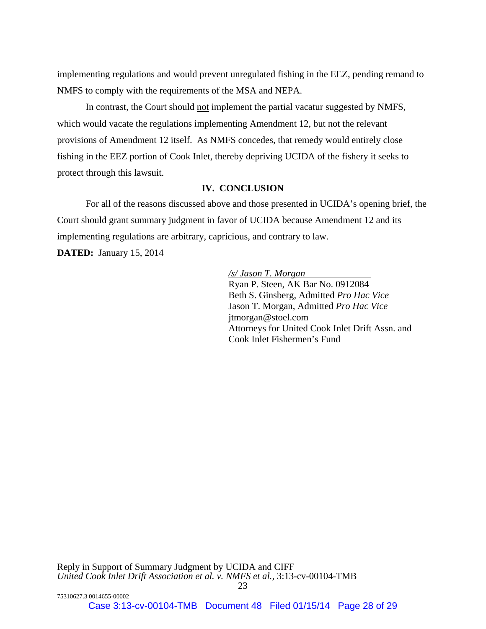implementing regulations and would prevent unregulated fishing in the EEZ, pending remand to NMFS to comply with the requirements of the MSA and NEPA.

In contrast, the Court should not implement the partial vacatur suggested by NMFS, which would vacate the regulations implementing Amendment 12, but not the relevant provisions of Amendment 12 itself. As NMFS concedes, that remedy would entirely close fishing in the EEZ portion of Cook Inlet, thereby depriving UCIDA of the fishery it seeks to protect through this lawsuit.

## **IV. CONCLUSION**

For all of the reasons discussed above and those presented in UCIDA's opening brief, the Court should grant summary judgment in favor of UCIDA because Amendment 12 and its implementing regulations are arbitrary, capricious, and contrary to law.

**DATED:** January 15, 2014

*/s/ Jason T. Morgan* 

Ryan P. Steen, AK Bar No. 0912084 Beth S. Ginsberg, Admitted *Pro Hac Vice* Jason T. Morgan, Admitted *Pro Hac Vice* jtmorgan@stoel.com Attorneys for United Cook Inlet Drift Assn. and Cook Inlet Fishermen's Fund